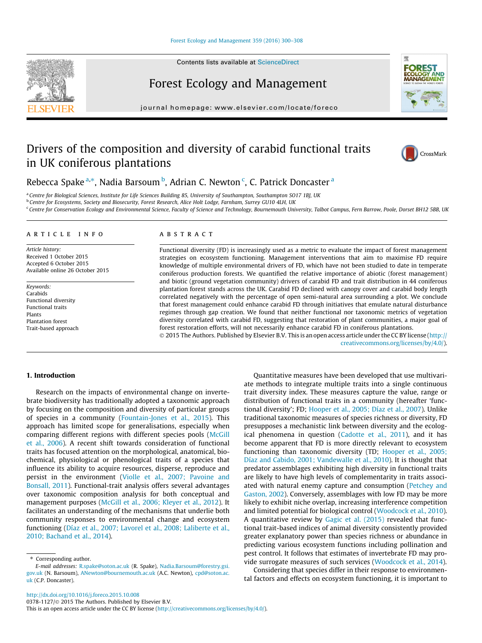#### [Forest Ecology and Management 359 \(2016\) 300–308](http://dx.doi.org/10.1016/j.foreco.2015.10.008)

Forest Ecology and Management

journal homepage: [www.elsevier.com/locate/foreco](http://www.elsevier.com/locate/foreco)

# Drivers of the composition and diversity of carabid functional traits in UK coniferous plantations



Rebecca Spake <sup>a,\*</sup>, Nadia Barsoum <sup>b</sup>, Adrian C. Newton <sup>c</sup>, C. Patrick Doncaster <sup>a</sup>

a Centre for Biological Sciences, Institute for Life Sciences Building 85, University of Southampton, Southampton SO17 1BJ, UK

<sup>b</sup> Centre for Ecosystems, Society and Biosecurity, Forest Research, Alice Holt Lodge, Farnham, Surrey GU10 4LH, UK

<sup>c</sup> Centre for Conservation Ecology and Environmental Science, Faculty of Science and Technology, Bournemouth University, Talbot Campus, Fern Barrow, Poole, Dorset BH12 5BB, UK

# article info

Article history: Received 1 October 2015 Accepted 6 October 2015 Available online 26 October 2015

Keywords: Carabids Functional diversity Functional traits Plants Plantation forest Trait-based approach

#### ABSTRACT

Functional diversity (FD) is increasingly used as a metric to evaluate the impact of forest management strategies on ecosystem functioning. Management interventions that aim to maximise FD require knowledge of multiple environmental drivers of FD, which have not been studied to date in temperate coniferous production forests. We quantified the relative importance of abiotic (forest management) and biotic (ground vegetation community) drivers of carabid FD and trait distribution in 44 coniferous plantation forest stands across the UK. Carabid FD declined with canopy cover and carabid body length correlated negatively with the percentage of open semi-natural area surrounding a plot. We conclude that forest management could enhance carabid FD through initiatives that emulate natural disturbance regimes through gap creation. We found that neither functional nor taxonomic metrics of vegetation diversity correlated with carabid FD, suggesting that restoration of plant communities, a major goal of forest restoration efforts, will not necessarily enhance carabid FD in coniferous plantations. 2015 The Authors. Published by Elsevier B.V. This is an open access article under the CC BY license ([http://](http://creativecommons.org/licenses/by/4.0/)

[creativecommons.org/licenses/by/4.0/](http://creativecommons.org/licenses/by/4.0/)).

# 1. Introduction

Research on the impacts of environmental change on invertebrate biodiversity has traditionally adopted a taxonomic approach by focusing on the composition and diversity of particular groups of species in a community ([Fountain-Jones et al., 2015](#page-7-0)). This approach has limited scope for generalisations, especially when comparing different regions with different species pools ([McGill](#page-8-0) [et al., 2006](#page-8-0)). A recent shift towards consideration of functional traits has focused attention on the morphological, anatomical, biochemical, physiological or phenological traits of a species that influence its ability to acquire resources, disperse, reproduce and persist in the environment [\(Violle et al., 2007; Pavoine and](#page-8-0) [Bonsall, 2011\)](#page-8-0). Functional-trait analysis offers several advantages over taxonomic composition analysis for both conceptual and management purposes [\(McGill et al., 2006; Kleyer et al., 2012](#page-8-0)). It facilitates an understanding of the mechanisms that underlie both community responses to environmental change and ecosystem functioning ([Díaz et al., 2007; Lavorel et al., 2008; Laliberte et al.,](#page-7-0) [2010; Bachand et al., 2014](#page-7-0)).

Quantitative measures have been developed that use multivariate methods to integrate multiple traits into a single continuous trait diversity index. These measures capture the value, range or distribution of functional traits in a community (hereafter 'functional diversity'; FD; [Hooper et al., 2005; Díaz et al., 2007\)](#page-7-0). Unlike traditional taxonomic measures of species richness or diversity, FD presupposes a mechanistic link between diversity and the ecological phenomena in question [\(Cadotte et al., 2011](#page-7-0)), and it has become apparent that FD is more directly relevant to ecosystem functioning than taxonomic diversity (TD; [Hooper et al., 2005;](#page-7-0) [Díaz and Cabido, 2001; Vandewalle et al., 2010\)](#page-7-0). It is thought that predator assemblages exhibiting high diversity in functional traits are likely to have high levels of complementarity in traits associated with natural enemy capture and consumption ([Petchey and](#page-8-0) [Gaston, 2002](#page-8-0)). Conversely, assemblages with low FD may be more likely to exhibit niche overlap, increasing interference competition and limited potential for biological control ([Woodcock et al., 2010\)](#page-8-0). A quantitative review by [Gagic et al. \(2015\)](#page-7-0) revealed that functional trait-based indices of animal diversity consistently provided greater explanatory power than species richness or abundance in predicting various ecosystem functions including pollination and pest control. It follows that estimates of invertebrate FD may provide surrogate measures of such services [\(Woodcock et al., 2014](#page-8-0)).

Considering that species differ in their response to environmental factors and effects on ecosystem functioning, it is important to

<http://dx.doi.org/10.1016/j.foreco.2015.10.008>

0378-1127/© 2015 The Authors. Published by Elsevier B.V. This is an open access article under the CC BY license ([http://creativecommons.org/licenses/by/4.0/\)](http://creativecommons.org/licenses/by/4.0/).

<sup>⇑</sup> Corresponding author.

E-mail addresses: [R.spake@soton.ac.uk](mailto:R.spake@soton.ac.uk) (R. Spake), [Nadia.Barsoum@forestry.gsi.](mailto:Nadia.Barsoum@forestry.gsi.gov.uk) [gov.uk](mailto:Nadia.Barsoum@forestry.gsi.gov.uk) (N. Barsoum), [ANewton@bournemouth.ac.uk](mailto:ANewton@bournemouth.ac.uk) (A.C. Newton), [cpd@soton.ac.](mailto:cpd@soton.ac.uk) [uk](mailto:cpd@soton.ac.uk) (C.P. Doncaster).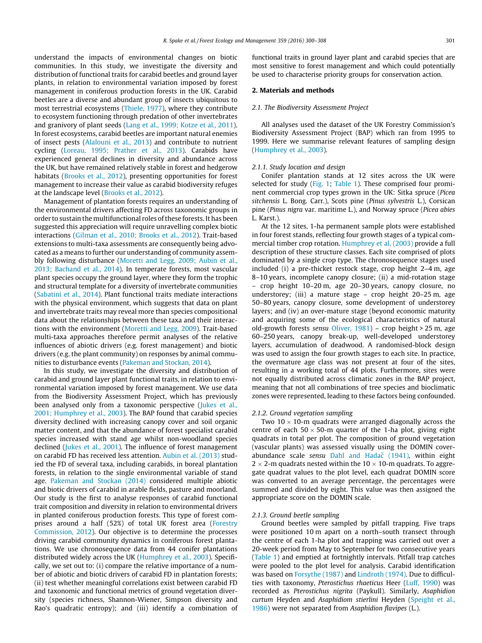understand the impacts of environmental changes on biotic communities. In this study, we investigate the diversity and distribution of functional traits for carabid beetles and ground layer plants, in relation to environmental variation imposed by forest management in coniferous production forests in the UK. Carabid beetles are a diverse and abundant group of insects ubiquitous to most terrestrial ecosystems ([Thiele, 1977](#page-8-0)), where they contribute to ecosystem functioning through predation of other invertebrates and granivory of plant seeds ([Lang et al., 1999; Kotze et al., 2011\)](#page-8-0). In forest ecosystems, carabid beetles are important natural enemies of insect pests [\(Alalouni et al., 2013](#page-7-0)) and contribute to nutrient cycling ([Loreau, 1995; Prather et al., 2013](#page-8-0)). Carabids have experienced general declines in diversity and abundance across the UK, but have remained relatively stable in forest and hedgerow habitats [\(Brooks et al., 2012\)](#page-7-0), presenting opportunities for forest management to increase their value as carabid biodiversity refuges at the landscape level ([Brooks et al., 2012](#page-7-0)).

Management of plantation forests requires an understanding of the environmental drivers affecting FD across taxonomic groups in order to sustain the multifunctional roles of these forests. It has been suggested this appreciation will require unravelling complex biotic interactions [\(Gilman et al., 2010; Brooks et al., 2012\)](#page-7-0). Trait-based extensions to multi-taxa assessments are consequently being advocated as a means to further our understanding of community assembly following disturbance [\(Moretti and Legg, 2009; Aubin et al.,](#page-8-0) [2013; Bachand et al., 2014](#page-8-0)). In temperate forests, most vascular plant species occupy the ground layer, where they form the trophic and structural template for a diversity of invertebrate communities ([Sabatini et al., 2014](#page-8-0)). Plant functional traits mediate interactions with the physical environment, which suggests that data on plant and invertebrate traits may reveal more than species compositional data about the relationships between these taxa and their interactions with the environment [\(Moretti and Legg, 2009\)](#page-8-0). Trait-based multi-taxa approaches therefore permit analyses of the relative influences of abiotic drivers (e.g. forest management) and biotic drivers (e.g. the plant community) on responses by animal communities to disturbance events [\(Pakeman and Stockan, 2014](#page-8-0)).

In this study, we investigate the diversity and distribution of carabid and ground layer plant functional traits, in relation to environmental variation imposed by forest management. We use data from the Biodiversity Assessment Project, which has previously been analysed only from a taxonomic perspective ([Jukes et al.,](#page-7-0) [2001; Humphrey et al., 2003](#page-7-0)). The BAP found that carabid species diversity declined with increasing canopy cover and soil organic matter content, and that the abundance of forest specialist carabid species increased with stand age whilst non-woodland species declined ([Jukes et al., 2001](#page-7-0)). The influence of forest management on carabid FD has received less attention. [Aubin et al. \(2013\)](#page-7-0) studied the FD of several taxa, including carabids, in boreal plantation forests, in relation to the single environmental variable of stand age. [Pakeman and Stockan \(2014\)](#page-8-0) considered multiple abiotic and biotic drivers of carabid in arable fields, pasture and moorland. Our study is the first to analyse responses of carabid functional trait composition and diversity in relation to environmental drivers in planted coniferous production forests. This type of forest comprises around a half (52%) of total UK forest area ([Forestry](#page-7-0) [Commission, 2012](#page-7-0)). Our objective is to determine the processes driving carabid community dynamics in coniferous forest plantations. We use chronosequence data from 44 conifer plantations distributed widely across the UK ([Humphrey et al., 2003\)](#page-7-0). Specifically, we set out to: (i) compare the relative importance of a number of abiotic and biotic drivers of carabid FD in plantation forests; (ii) test whether meaningful correlations exist between carabid FD and taxonomic and functional metrics of ground vegetation diversity (species richness, Shannon-Wiener, Simpson diversity and Rao's quadratic entropy); and (iii) identify a combination of functional traits in ground layer plant and carabid species that are most sensitive to forest management and which could potentially be used to characterise priority groups for conservation action.

#### 2. Materials and methods

#### 2.1. The Biodiversity Assessment Project

All analyses used the dataset of the UK Forestry Commission's Biodiversity Assessment Project (BAP) which ran from 1995 to 1999. Here we summarise relevant features of sampling design ([Humphrey et al., 2003\)](#page-7-0).

#### 2.1.1. Study location and design

Conifer plantation stands at 12 sites across the UK were selected for study ([Fig. 1;](#page-2-0) [Table 1\)](#page-3-0). These comprised four prominent commercial crop types grown in the UK: Sitka spruce (Picea sitchensis L. Bong. Carr.), Scots pine (Pinus sylvestris L.), Corsican pine (Pinus nigra var. maritime L.), and Norway spruce (Picea abies L. Karst.).

At the 12 sites, 1-ha permanent sample plots were established in four forest stands, reflecting four growth stages of a typical commercial timber crop rotation. [Humphrey et al. \(2003\)](#page-7-0) provide a full description of these structure classes. Each site comprised of plots dominated by a single crop type. The chronosequence stages used included (i) a pre-thicket restock stage, crop height 2–4 m, age 8–10 years, incomplete canopy closure; (ii) a mid-rotation stage – crop height 10–20 m, age 20–30 years, canopy closure, no understorey; (iii) a mature stage – crop height 20–25 m, age 50–80 years, canopy closure, some development of understorey layers; and (iv) an over-mature stage (beyond economic maturity and acquiring some of the ecological characteristics of natural old-growth forests sensu [Oliver, 1981](#page-8-0)) – crop height > 25 m, age 60–250 years, canopy break-up, well-developed understorey layers, accumulation of deadwood. A randomised-block design was used to assign the four growth stages to each site. In practice, the overmature age class was not present at four of the sites, resulting in a working total of 44 plots. Furthermore, sites were not equally distributed across climatic zones in the BAP project, meaning that not all combinations of tree species and bioclimatic zones were represented, leading to these factors being confounded.

#### 2.1.2. Ground vegetation sampling

Two 10  $\times$  10-m quadrats were arranged diagonally across the centre of each  $50 \times 50$ -m quarter of the 1-ha plot, giving eight quadrats in total per plot. The composition of ground vegetation (vascular plants) was assessed visually using the DOMIN coverabundance scale sensu Dahl and Hadač (1941), within eight 2  $\times$  2-m quadrats nested within the 10  $\times$  10-m quadrats. To aggregate quadrat values to the plot level, each quadrat DOMIN score was converted to an average percentage, the percentages were summed and divided by eight. This value was then assigned the appropriate score on the DOMIN scale.

#### 2.1.3. Ground beetle sampling

Ground beetles were sampled by pitfall trapping. Five traps were positioned 10 m apart on a north–south transect through the centre of each 1-ha plot and trapping was carried out over a 20-week period from May to September for two consecutive years ([Table 1\)](#page-3-0) and emptied at fortnightly intervals. Pitfall trap catches were pooled to the plot level for analysis. Carabid identification was based on [Forsythe \(1987\)](#page-7-0) and [Lindroth \(1974\).](#page-8-0) Due to difficulties with taxonomy, Pterostichus rhaeticus Heer [\(Luff, 1990](#page-8-0)) was recorded as Pterostichus nigrita (Paykull). Similarly, Asaphidion curtum Heyden and Asaphidiom stierlini Heyden ([Speight et al.,](#page-8-0) [1986\)](#page-8-0) were not separated from Asaphidion flavipes (L.).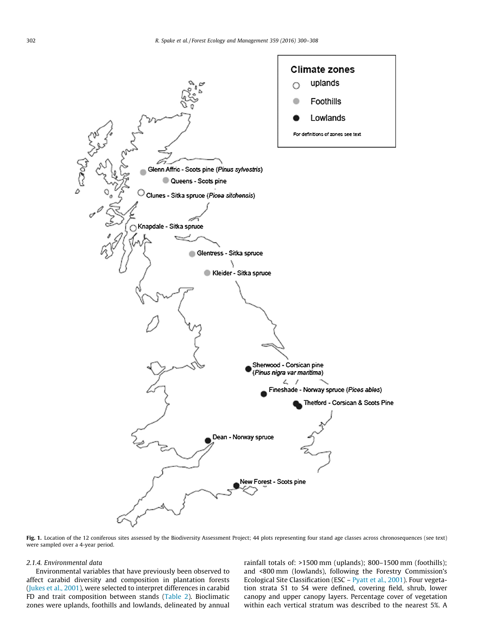<span id="page-2-0"></span>

Fig. 1. Location of the 12 coniferous sites assessed by the Biodiversity Assessment Project; 44 plots representing four stand age classes across chronosequences (see text) were sampled over a 4-year period.

#### 2.1.4. Environmental data

Environmental variables that have previously been observed to affect carabid diversity and composition in plantation forests ([Jukes et al., 2001](#page-7-0)), were selected to interpret differences in carabid FD and trait composition between stands ([Table 2\)](#page-3-0). Bioclimatic zones were uplands, foothills and lowlands, delineated by annual rainfall totals of: >1500 mm (uplands); 800–1500 mm (foothills); and <800 mm (lowlands), following the Forestry Commission's Ecological Site Classification (ESC – [Pyatt et al., 2001](#page-8-0)). Four vegetation strata S1 to S4 were defined, covering field, shrub, lower canopy and upper canopy layers. Percentage cover of vegetation within each vertical stratum was described to the nearest 5%. A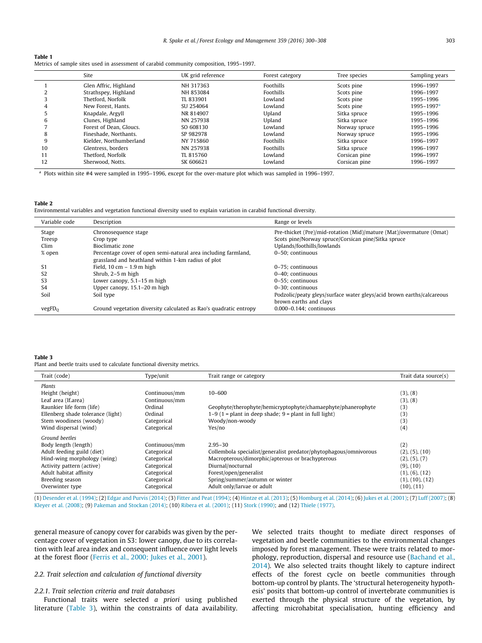<span id="page-3-0"></span>

| Table 1                                                                                 |  |
|-----------------------------------------------------------------------------------------|--|
| Metrics of sample sites used in assessment of carabid community composition, 1995–1997. |  |

|    | Site                    | UK grid reference | Forest category | Tree species  | Sampling years             |
|----|-------------------------|-------------------|-----------------|---------------|----------------------------|
|    | Glen Affric, Highland   | NH 317363         | Foothills       | Scots pine    | 1996-1997                  |
|    | Strathspey, Highland    | NH 853084         | Foothills       | Scots pine    | 1996-1997                  |
|    | Thetford, Norfolk       | TL 833901         | Lowland         | Scots pine    | 1995-1996                  |
| 4  | New Forest, Hants.      | SU 254064         | Lowland         | Scots pine    | $1995 - 1997$ <sup>a</sup> |
|    | Knapdale, Argyll        | NR 814907         | Upland          | Sitka spruce  | 1995-1996                  |
| 6  | Clunes, Highland        | NN 257938         | Upland          | Sitka spruce  | 1995-1996                  |
|    | Forest of Dean, Gloucs. | SO 608130         | Lowland         | Norway spruce | 1995-1996                  |
| 8  | Fineshade, Northants.   | SP 982978         | Lowland         | Norway spruce | 1995-1996                  |
| 9  | Kielder, Northumberland | NY 715860         | Foothills       | Sitka spruce  | 1996-1997                  |
| 10 | Glentress, borders      | NN 257938         | Foothills       | Sitka spruce  | 1996-1997                  |
|    | Thetford, Norfolk       | TL 815760         | Lowland         | Corsican pine | 1996-1997                  |
| 12 | Sherwood, Notts.        | SK 606621         | Lowland         | Corsican pine | 1996-1997                  |

<sup>a</sup> Plots within site #4 were sampled in 1995–1996, except for the over-mature plot which was sampled in 1996–1997.

#### Table 2

Environmental variables and vegetation functional diversity used to explain variation in carabid functional diversity.

| Variable code      | Description                                                       | Range or levels                                                       |
|--------------------|-------------------------------------------------------------------|-----------------------------------------------------------------------|
| Stage              | Chronosequence stage                                              | Pre-thicket (Pre)/mid-rotation (Mid)/mature (Mat)/overmature (Omat)   |
| Treesp             | Crop type                                                         | Scots pine/Norway spruce/Corsican pine/Sitka spruce                   |
| Clim               | Bioclimatic zone                                                  | Uplands/foothills/lowlands                                            |
| % open             | Percentage cover of open semi-natural area including farmland,    | 0-50: continuous                                                      |
|                    | grassland and heathland within 1-km radius of plot                |                                                                       |
| S1                 | Field, $10 \text{ cm} - 1.9 \text{ m}$ high                       | 0-75: continuous                                                      |
| S2                 | Shrub, 2-5 m high                                                 | $0-40$ : continuous                                                   |
| S <sub>3</sub>     | Lower canopy, $5.1-15$ m high                                     | 0-55: continuous                                                      |
| S4                 | Upper canopy, 15.1–20 m high                                      | 0-30: continuous                                                      |
| Soil               | Soil type                                                         | Podzolic/peaty gleys/surface water gleys/acid brown earths/calcareous |
|                    |                                                                   | brown earths and clays                                                |
| vegFD <sub>O</sub> | Ground vegetation diversity calculated as Rao's quadratic entropy | $0.000 - 0.144$ : continuous                                          |
|                    |                                                                   |                                                                       |

#### Table 3

Plant and beetle traits used to calculate functional diversity metrics.

| Trait (code)                      | Type/unit     | Trait range or category                                           | Trait data source(s) |
|-----------------------------------|---------------|-------------------------------------------------------------------|----------------------|
| Plants                            |               |                                                                   |                      |
| Height (height)                   | Continuous/mm | 10-600                                                            | (3), (8)             |
| Leaf area (If.area)               | Continuous/mm |                                                                   | (3), (8)             |
| Raunkier life form (life)         | Ordinal       | Geophyte/therophyte/hemicryptophyte/chamaephyte/phanerophyte      | (3)                  |
| Ellenberg shade tolerance (light) | Ordinal       | $1-9$ (1 = plant in deep shade; 9 = plant in full light)          | (3)                  |
| Stem woodiness (woody)            | Categorical   | Woody/non-woody                                                   | (3)                  |
| Wind dispersal (wind)             | Categorical   | Yes/no                                                            | (4)                  |
| Ground beetles                    |               |                                                                   |                      |
| Body length (length)              | Continuous/mm | $2.95 - 30$                                                       | (2)                  |
| Adult feeding guild (diet)        | Categorical   | Collembola specialist/generalist predator/phytophagous/omnivorous | (2), (5), (10)       |
| Hind-wing morphology (wing)       | Categorical   | Macropterous/dimorphic/apterous or brachypterous                  | (2), (5), (7)        |
| Activity pattern (active)         | Categorical   | Diurnal/nocturnal                                                 | (9), (10)            |
| Adult habitat affinity            | Categorical   | Forest/open/generalist                                            | (1), (6), (12)       |
| Breeding season                   | Categorical   | Spring/summer/autumn or winter                                    | (1), (10), (12)      |
| Overwinter type                   | Categorical   | Adult only/larvae or adult                                        | (10), (11)           |

(1) [Desender et al. \(1994\);](#page-7-0) (2) [Edgar and Purvis \(2014\);](#page-7-0) (3) [Fitter and Peat \(1994\);](#page-7-0) (4) [Hintze et al. \(2013\)](#page-7-0); (5) [Homburg et al. \(2014\)](#page-7-0); (6) [Jukes et al. \(2001\);](#page-7-0) (7) [Luff \(2007\)](#page-8-0); (8) [Kleyer et al. \(2008\);](#page-7-0) (9) [Pakeman and Stockan \(2014\)](#page-8-0); (10) [Ribera et al. \(2001\);](#page-8-0) (11) [Stork \(1990\);](#page-8-0) and (12) [Thiele \(1977\).](#page-8-0)

general measure of canopy cover for carabids was given by the percentage cover of vegetation in S3: lower canopy, due to its correlation with leaf area index and consequent influence over light levels at the forest floor ([Ferris et al., 2000; Jukes et al., 2001\)](#page-7-0).

# 2.2. Trait selection and calculation of functional diversity

# 2.2.1. Trait selection criteria and trait databases

Functional traits were selected a priori using published literature (Table 3), within the constraints of data availability. We selected traits thought to mediate direct responses of vegetation and beetle communities to the environmental changes imposed by forest management. These were traits related to morphology, reproduction, dispersal and resource use [\(Bachand et al.,](#page-7-0) [2014](#page-7-0)). We also selected traits thought likely to capture indirect effects of the forest cycle on beetle communities through bottom-up control by plants. The 'structural heterogeneity hypothesis' posits that bottom-up control of invertebrate communities is exerted through the physical structure of the vegetation, by affecting microhabitat specialisation, hunting efficiency and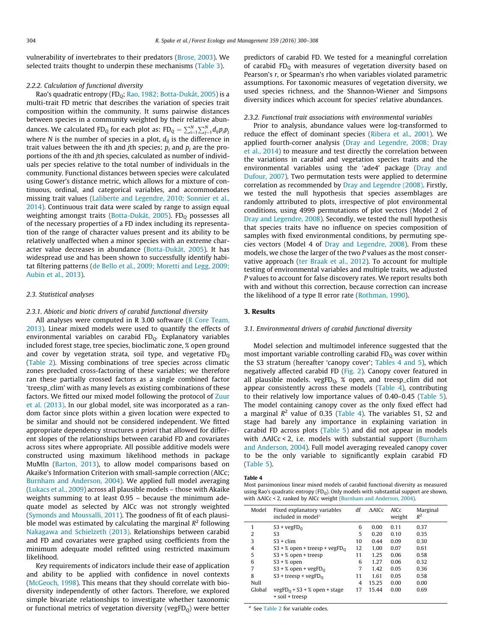vulnerability of invertebrates to their predators [\(Brose, 2003](#page-7-0)). We selected traits thought to underpin these mechanisms [\(Table 3](#page-3-0)).

#### 2.2.2. Calculation of functional diversity

Rao's quadratic entropy (FD<sub>0</sub>; [Rao, 1982; Botta-Dukát, 2005\)](#page-8-0) is a multi-trait FD metric that describes the variation of species trait composition within the community. It sums pairwise distances between species in a community weighted by their relative abundances. We calculated FD<sub>Q</sub> for each plot as:  $\text{FD}_\text{Q} = \sum_{i=1}^{N} \sum_{j=1}^{N} d_{ij} p_i p_j$ where N is the number of species in a plot,  $d_{ij}$  is the difference in trait values between the *i*th and *j*th species;  $p_i$  and  $p_i$  are the proportions of the ith and jth species, calculated as number of individuals per species relative to the total number of individuals in the community. Functional distances between species were calculated using Gower's distance metric, which allows for a mixture of continuous, ordinal, and categorical variables, and accommodates missing trait values [\(Laliberte and Legendre, 2010; Sonnier et al.,](#page-8-0) [2014\)](#page-8-0). Continuous trait data were scaled by range to assign equal weighting amongst traits [\(Botta-Dukát, 2005\)](#page-7-0). FD<sub>0</sub> possesses all of the necessary properties of a FD index including its representation of the range of character values present and its ability to be relatively unaffected when a minor species with an extreme character value decreases in abundance [\(Botta-Dukát, 2005\)](#page-7-0). It has widespread use and has been shown to successfully identify habitat filtering patterns ([de Bello et al., 2009; Moretti and Legg, 2009;](#page-7-0) [Aubin et al., 2013\)](#page-7-0).

### 2.3. Statistical analyses

#### 2.3.1. Abiotic and biotic drivers of carabid functional diversity

All analyses were computed in R 3.00 software ([R Core Team,](#page-8-0) [2013\)](#page-8-0). Linear mixed models were used to quantify the effects of environmental variables on carabid  $FD<sub>Q</sub>$ . Explanatory variables included forest stage, tree species, bioclimatic zone, % open ground and cover by vegetation strata, soil type, and vegetative  $FD<sub>o</sub>$ ([Table 2](#page-3-0)). Missing combinations of tree species across climatic zones precluded cross-factoring of these variables; we therefore ran these partially crossed factors as a single combined factor 'treesp\_clim' with as many levels as existing combinations of these factors. We fitted our mixed model following the protocol of [Zuur](#page-8-0) [et al. \(2013\)](#page-8-0). In our global model, site was incorporated as a random factor since plots within a given location were expected to be similar and should not be considered independent. We fitted appropriate dependency structures a priori that allowed for different slopes of the relationships between carabid FD and covariates across sites where appropriate. All possible additive models were constructed using maximum likelihood methods in package MuMIn [\(Barton, 2013\)](#page-7-0), to allow model comparisons based on Akaike's Information Criterion with small-sample correction (AICc; [Burnham and Anderson, 2004](#page-7-0)). We applied full model averaging ([Lukacs et al., 2009\)](#page-8-0) across all plausible models – those with Akaike weights summing to at least 0.95 – because the minimum adequate model as selected by AICc was not strongly weighted ([Symonds and Moussalli, 2011](#page-8-0)). The goodness of fit of each plausible model was estimated by calculating the marginal  $R^2$  following [Nakagawa and Schielzeth \(2013\)](#page-8-0). Relationships between carabid and FD and covariates were graphed using coefficients from the minimum adequate model refitted using restricted maximum likelihood.

Key requirements of indicators include their ease of application and ability to be applied with confidence in novel contexts ([McGeoch, 1998](#page-8-0)). This means that they should correlate with biodiversity independently of other factors. Therefore, we explored simple bivariate relationships to investigate whether taxonomic or functional metrics of vegetation diversity (vegFD $<sub>0</sub>$ ) were better</sub> predictors of carabid FD. We tested for a meaningful correlation of carabid  $FD<sub>o</sub>$  with measures of vegetation diversity based on Pearson's r, or Spearman's rho when variables violated parametric assumptions. For taxonomic measures of vegetation diversity, we used species richness, and the Shannon-Wiener and Simpsons diversity indices which account for species' relative abundances.

#### 2.3.2. Functional trait associations with environmental variables

Prior to analysis, abundance values were log-transformed to reduce the effect of dominant species [\(Ribera et al., 2001](#page-8-0)). We applied fourth-corner analysis [\(Dray and Legendre, 2008; Dray](#page-7-0) [et al., 2014](#page-7-0)) to measure and test directly the correlation between the variations in carabid and vegetation species traits and the environmental variables using the 'ade4' package ([Dray and](#page-7-0) [Dufour, 2007\)](#page-7-0). Two permutation tests were applied to determine correlation as recommended by [Dray and Legendre \(2008\).](#page-7-0) Firstly, we tested the null hypothesis that species assemblages are randomly attributed to plots, irrespective of plot environmental conditions, using 4999 permutations of plot vectors (Model 2 of [Dray and Legendre, 2008\)](#page-7-0). Secondly, we tested the null hypothesis that species traits have no influence on species composition of samples with fixed environmental conditions, by permuting species vectors (Model 4 of [Dray and Legendre, 2008](#page-7-0)). From these models, we chose the larger of the two P values as the most conservative approach ([ter Braak et al., 2012](#page-8-0)). To account for multiple testing of environmental variables and multiple traits, we adjusted P values to account for false discovery rates. We report results both with and without this correction, because correction can increase the likelihood of a type II error rate ([Rothman, 1990\)](#page-8-0).

#### 3. Results

#### 3.1. Environmental drivers of carabid functional diversity

Model selection and multimodel inference suggested that the most important variable controlling carabid  $FD<sub>0</sub>$  was cover within the S3 stratum (hereafter 'canopy cover'; Tables 4 and 5), which negatively affected carabid FD [\(Fig. 2\)](#page-5-0). Canopy cover featured in all plausible models. vegFD $_0$ , % open, and treesp\_clim did not appear consistently across these models (Table 4), contributing to their relatively low importance values of 0.40–0.45 [\(Table 5\)](#page-5-0). The model containing canopy cover as the only fixed effect had a marginal  $R^2$  value of 0.35 (Table 4). The variables S1, S2 and stage had barely any importance in explaining variation in carabid FD across plots [\(Table 5](#page-5-0)) and did not appear in models with  $\Delta$ AICc < 2, i.e. models with substantial support ([Burnham](#page-7-0) [and Anderson, 2004\)](#page-7-0). Full model averaging revealed canopy cover to be the only variable to significantly explain carabid FD ([Table 5](#page-5-0)).

#### Table 4

Most parsimonious linear mixed models of carabid functional diversity as measured using Rao's quadratic entropy  $(FD_Q)$ . Only models with substantial support are shown, with  $\Delta AICc$  < 2, ranked by AICc weight ([Burnham and Anderson, 2004\)](#page-7-0).

| Model          | Fixed explanatory variables<br>included in model <sup>a</sup> | df | $\triangle$ AICc | <b>AICc</b><br>weight | Marginal<br>$R^2$ |
|----------------|---------------------------------------------------------------|----|------------------|-----------------------|-------------------|
| 1              | $S3 + \text{vegFD}_0$                                         | 6  | 0.00             | 0.11                  | 0.37              |
| $\overline{2}$ | S <sub>3</sub>                                                | 5  | 0.20             | 0.10                  | 0.35              |
| 3              | $S3 + \text{clim}$                                            | 10 | 0.44             | 0.09                  | 0.30              |
| 4              | S3 + % open + treesp + $vegFD_0$                              | 12 | 1.00             | 0.07                  | 0.61              |
| 5              | $S3 + %$ open + treesp                                        | 11 | 1.25             | 0.06                  | 0.58              |
| 6              | $S3 + %$ open                                                 | 6  | 1.27             | 0.06                  | 0.32              |
| 7              | S3 + % open + $vegFD_0$                                       | 7  | 1.42             | 0.05                  | 0.36              |
| 8              | S3 + treesp + $vegFD_0$                                       | 11 | 1.61             | 0.05                  | 0.58              |
| Null           |                                                               | 4  | 15.25            | 0.00                  | 0.00              |
| Global         | $vegFD0 + S3 + %$ open + stage<br>+ soil + treesp             | 17 | 15.44            | 0.00                  | 0.69              |

<sup>a</sup> See [Table 2](#page-3-0) for variable codes.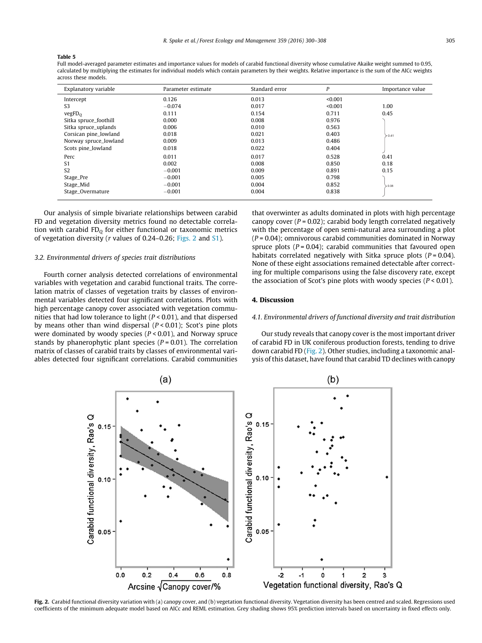#### <span id="page-5-0"></span>Table 5

Full model-averaged parameter estimates and importance values for models of carabid functional diversity whose cumulative Akaike weight summed to 0.95, calculated by multiplying the estimates for individual models which contain parameters by their weights. Relative importance is the sum of the AICc weights across these models.

| Explanatory variable  | Parameter estimate | Standard error | P       | Importance value |
|-----------------------|--------------------|----------------|---------|------------------|
| Intercept             | 0.126              | 0.013          | < 0.001 |                  |
| S <sub>3</sub>        | $-0.074$           | 0.017          | < 0.001 | 1.00             |
| vegFD <sub>O</sub>    | 0.111              | 0.154          | 0.711   | 0.45             |
| Sitka spruce_foothill | 0.000              | 0.008          | 0.976   |                  |
| Sitka spruce_uplands  | 0.006              | 0.010          | 0.563   |                  |
| Corsican pine_lowland | 0.018              | 0.021          | 0.403   | > 0.41           |
| Norway spruce_lowland | 0.009              | 0.013          | 0.486   |                  |
| Scots pine_lowland    | 0.018              | 0.022          | 0.404   |                  |
| Perc                  | 0.011              | 0.017          | 0.528   | 0.41             |
| S <sub>1</sub>        | 0.002              | 0.008          | 0.850   | 0.18             |
| S <sub>2</sub>        | $-0.001$           | 0.009          | 0.891   | 0.15             |
| Stage_Pre             | $-0.001$           | 0.005          | 0.798   |                  |
| Stage_Mid             | $-0.001$           | 0.004          | 0.852   | 0.08             |
| Stage_Overmature      | $-0.001$           | 0.004          | 0.838   |                  |

Our analysis of simple bivariate relationships between carabid FD and vegetation diversity metrics found no detectable correlation with carabid  $FD<sub>0</sub>$  for either functional or taxonomic metrics of vegetation diversity (r values of 0.24–0.26; Figs. 2 and S1).

#### 3.2. Environmental drivers of species trait distributions

Fourth corner analysis detected correlations of environmental variables with vegetation and carabid functional traits. The correlation matrix of classes of vegetation traits by classes of environmental variables detected four significant correlations. Plots with high percentage canopy cover associated with vegetation communities that had low tolerance to light  $(P < 0.01)$ , and that dispersed by means other than wind dispersal  $(P < 0.01)$ ; Scot's pine plots were dominated by woody species ( $P < 0.01$ ), and Norway spruce stands by phanerophytic plant species ( $P = 0.01$ ). The correlation matrix of classes of carabid traits by classes of environmental variables detected four significant correlations. Carabid communities that overwinter as adults dominated in plots with high percentage canopy cover  $(P = 0.02)$ ; carabid body length correlated negatively with the percentage of open semi-natural area surrounding a plot  $(P = 0.04)$ ; omnivorous carabid communities dominated in Norway spruce plots  $(P = 0.04)$ ; carabid communities that favoured open habitats correlated negatively with Sitka spruce plots  $(P = 0.04)$ . None of these eight associations remained detectable after correcting for multiple comparisons using the false discovery rate, except the association of Scot's pine plots with woody species ( $P < 0.01$ ).

# 4. Discussion

#### 4.1. Environmental drivers of functional diversity and trait distribution

Our study reveals that canopy cover is the most important driver of carabid FD in UK coniferous production forests, tending to drive down carabid FD (Fig. 2). Other studies, including a taxonomic analysis of this dataset, have found that carabid TD declines with canopy



Fig. 2. Carabid functional diversity variation with (a) canopy cover, and (b) vegetation functional diversity. Vegetation diversity has been centred and scaled. Regressions used coefficients of the minimum adequate model based on AICc and REML estimation. Grey shading shows 95% prediction intervals based on uncertainty in fixed effects only.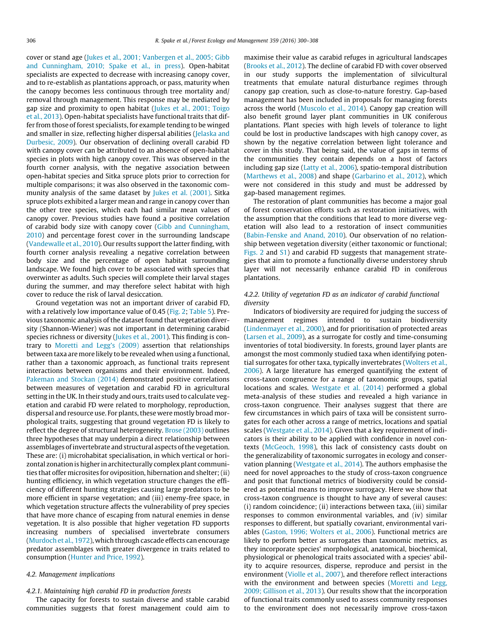cover or stand age [\(Jukes et al., 2001; Vanbergen et al., 2005; Gibb](#page-8-0) [and Cunningham, 2010; Spake et al., in press](#page-8-0)). Open-habitat specialists are expected to decrease with increasing canopy cover, and to re-establish as plantations approach, or pass, maturity when the canopy becomes less continuous through tree mortality and/ removal through management. This response may be mediated by gap size and proximity to open habitat ([Jukes et al., 2001; Toigo](#page-7-0) [et al., 2013](#page-7-0)). Open-habitat specialists have functional traits that differ from those of forest specialists, for example tending to be winged and smaller in size, reflecting higher dispersal abilities ([Jelaska and](#page-7-0) [Durbesic, 2009](#page-7-0)). Our observation of declining overall carabid FD with canopy cover can be attributed to an absence of open-habitat species in plots with high canopy cover. This was observed in the fourth corner analysis, with the negative association between open-habitat species and Sitka spruce plots prior to correction for multiple comparisons; it was also observed in the taxonomic community analysis of the same dataset by [Jukes et al. \(2001\).](#page-7-0) Sitka spruce plots exhibited a larger mean and range in canopy cover than the other tree species, which each had similar mean values of canopy cover. Previous studies have found a positive correlation of carabid body size with canopy cover [\(Gibb and Cunningham,](#page-7-0) [2010\)](#page-7-0) and percentage forest cover in the surrounding landscape ([Vandewalle et al., 2010](#page-8-0)). Our results support the latter finding, with fourth corner analysis revealing a negative correlation between body size and the percentage of open habitat surrounding landscape. We found high cover to be associated with species that overwinter as adults. Such species will complete their larval stages during the summer, and may therefore select habitat with high cover to reduce the risk of larval desiccation.

Ground vegetation was not an important driver of carabid FD, with a relatively low importance value of 0.45 ([Fig. 2](#page-5-0); [Table 5](#page-5-0)). Previous taxonomic analysis of the dataset found that vegetation diversity (Shannon-Wiener) was not important in determining carabid species richness or diversity ([Jukes et al., 2001\)](#page-7-0). This finding is contrary to [Moretti and Legg's \(2009\)](#page-8-0) assertion that relationships between taxa are more likely to be revealed when using a functional, rather than a taxonomic approach, as functional traits represent interactions between organisms and their environment. Indeed, [Pakeman and Stockan \(2014\)](#page-8-0) demonstrated positive correlations between measures of vegetation and carabid FD in agricultural setting in the UK. In their study and ours, traits used to calculate vegetation and carabid FD were related to morphology, reproduction, dispersal and resource use. For plants, these were mostly broad morphological traits, suggesting that ground vegetation FD is likely to reflect the degree of structural heterogeneity. [Brose \(2003\)](#page-7-0) outlines three hypotheses that may underpin a direct relationship between assemblages of invertebrate and structural aspects of the vegetation. These are: (i) microhabitat specialisation, in which vertical or horizontal zonation is higher in architecturally complex plant communities that offer microsites for oviposition, hibernation and shelter; (ii) hunting efficiency, in which vegetation structure changes the efficiency of different hunting strategies causing large predators to be more efficient in sparse vegetation; and (iii) enemy-free space, in which vegetation structure affects the vulnerability of prey species that have more chance of escaping from natural enemies in dense vegetation. It is also possible that higher vegetation FD supports increasing numbers of specialised invertebrate consumers ([Murdoch et al., 1972](#page-8-0)), which through cascade effects can encourage predator assemblages with greater divergence in traits related to consumption [\(Hunter and Price, 1992\)](#page-7-0).

# 4.2. Management implications

# 4.2.1. Maintaining high carabid FD in production forests

The capacity for forests to sustain diverse and stable carabid communities suggests that forest management could aim to maximise their value as carabid refuges in agricultural landscapes ([Brooks et al., 2012](#page-7-0)). The decline of carabid FD with cover observed in our study supports the implementation of silvicultural treatments that emulate natural disturbance regimes through canopy gap creation, such as close-to-nature forestry. Gap-based management has been included in proposals for managing forests across the world ([Muscolo et al., 2014](#page-8-0)). Canopy gap creation will also benefit ground layer plant communities in UK coniferous plantations. Plant species with high levels of tolerance to light could be lost in productive landscapes with high canopy cover, as shown by the negative correlation between light tolerance and cover in this study. That being said, the value of gaps in terms of the communities they contain depends on a host of factors including gap size [\(Latty et al., 2006](#page-8-0)), spatio-temporal distribution ([Marthews et al., 2008](#page-8-0)) and shape ([Garbarino et al., 2012\)](#page-7-0), which were not considered in this study and must be addressed by gap-based management regimes.

The restoration of plant communities has become a major goal of forest conservation efforts such as restoration initiatives, with the assumption that the conditions that lead to more diverse vegetation will also lead to a restoration of insect communities ([Babin-Fenske and Anand, 2010\)](#page-7-0). Our observation of no relationship between vegetation diversity (either taxonomic or functional; [Figs. 2](#page-5-0) and S1) and carabid FD suggests that management strategies that aim to promote a functionally diverse understorey shrub layer will not necessarily enhance carabid FD in coniferous plantations.

# 4.2.2. Utility of vegetation FD as an indicator of carabid functional diversity

Indicators of biodiversity are required for judging the success of management regimes intended to sustain biodiversity ([Lindenmayer et al., 2000](#page-8-0)), and for prioritisation of protected areas ([Larsen et al., 2009](#page-8-0)), as a surrogate for costly and time-consuming inventories of total biodiversity. In forests, ground layer plants are amongst the most commonly studied taxa when identifying potential surrogates for other taxa, typically invertebrates [\(Wolters et al.,](#page-8-0) [2006\)](#page-8-0). A large literature has emerged quantifying the extent of cross-taxon congruence for a range of taxonomic groups, spatial locations and scales. [Westgate et al. \(2014\)](#page-8-0) performed a global meta-analysis of these studies and revealed a high variance in cross-taxon congruence. Their analyses suggest that there are few circumstances in which pairs of taxa will be consistent surrogates for each other across a range of metrics, locations and spatial scales ([Westgate et al., 2014](#page-8-0)). Given that a key requirement of indicators is their ability to be applied with confidence in novel contexts ([McGeoch, 1998\)](#page-8-0), this lack of consistency casts doubt on the generalizability of taxonomic surrogates in ecology and conservation planning [\(Westgate et al., 2014\)](#page-8-0). The authors emphasise the need for novel approaches to the study of cross-taxon congruence and posit that functional metrics of biodiversity could be considered as potential means to improve surrogacy. Here we show that cross-taxon congruence is thought to have any of several causes: (i) random coincidence; (ii) interactions between taxa, (iii) similar responses to common environmental variables, and (iv) similar responses to different, but spatially covariant, environmental variables [\(Gaston, 1996; Wolters et al., 2006\)](#page-7-0). Functional metrics are likely to perform better as surrogates than taxonomic metrics, as they incorporate species' morphological, anatomical, biochemical, physiological or phenological traits associated with a species' ability to acquire resources, disperse, reproduce and persist in the environment ([Violle et al., 2007](#page-8-0)), and therefore reflect interactions with the environment and between species ([Moretti and Legg,](#page-8-0) [2009; Gillison et al., 2013](#page-8-0)). Our results show that the incorporation of functional traits commonly used to assess community responses to the environment does not necessarily improve cross-taxon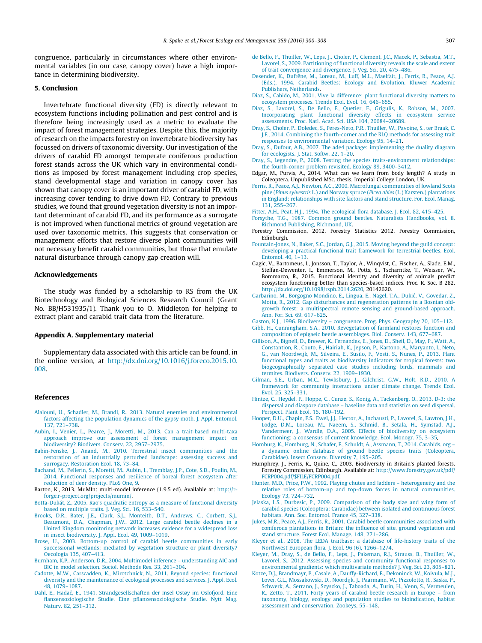<span id="page-7-0"></span>congruence, particularly in circumstances where other environmental variables (in our case, canopy cover) have a high importance in determining biodiversity.

### 5. Conclusion

Invertebrate functional diversity (FD) is directly relevant to ecosystem functions including pollination and pest control and is therefore being increasingly used as a metric to evaluate the impact of forest management strategies. Despite this, the majority of research on the impacts forestry on invertebrate biodiversity has focussed on drivers of taxonomic diversity. Our investigation of the drivers of carabid FD amongst temperate coniferous production forest stands across the UK which vary in environmental conditions as imposed by forest management including crop species, stand developmental stage and variation in canopy cover has shown that canopy cover is an important driver of carabid FD, with increasing cover tending to drive down FD. Contrary to previous studies, we found that ground vegetation diversity is not an important determinant of carabid FD, and its performance as a surrogate is not improved when functional metrics of ground vegetation are used over taxonomic metrics. This suggests that conservation or management efforts that restore diverse plant communities will not necessary benefit carabid communities, but those that emulate natural disturbance through canopy gap creation will.

#### Acknowledgements

The study was funded by a scholarship to RS from the UK Biotechnology and Biological Sciences Research Council (Grant No. BB/H531935/1). Thank you to O. Middleton for helping to extract plant and carabid trait data from the literature.

#### Appendix A. Supplementary material

Supplementary data associated with this article can be found, in the online version, at [http://dx.doi.org/10.1016/j.foreco.2015.10.](http://dx.doi.org/10.1016/j.foreco.2015.10.008) [008.](http://dx.doi.org/10.1016/j.foreco.2015.10.008)

#### References

- [Alalouni, U., Schadler, M., Brandl, R., 2013. Natural enemies and environmental](http://refhub.elsevier.com/S0378-1127(15)00552-6/h0005) [factors affecting the population dynamics of the gypsy moth. J. Appl. Entomol.](http://refhub.elsevier.com/S0378-1127(15)00552-6/h0005) [137, 721–738](http://refhub.elsevier.com/S0378-1127(15)00552-6/h0005).
- [Aubin, I., Venier, L., Pearce, J., Moretti, M., 2013. Can a trait-based multi-taxa](http://refhub.elsevier.com/S0378-1127(15)00552-6/h0010) [approach improve our assessment of forest management impact on](http://refhub.elsevier.com/S0378-1127(15)00552-6/h0010) [biodiversity? Biodivers. Conserv. 22, 2957–2975](http://refhub.elsevier.com/S0378-1127(15)00552-6/h0010).
- [Babin-Fenske, J., Anand, M., 2010. Terrestrial insect communities and the](http://refhub.elsevier.com/S0378-1127(15)00552-6/h0015) [restoration of an industrially perturbed landscape: assessing success and](http://refhub.elsevier.com/S0378-1127(15)00552-6/h0015) [surrogacy. Restoration Ecol. 18, 73–84](http://refhub.elsevier.com/S0378-1127(15)00552-6/h0015).
- [Bachand, M., Pellerin, S., Moretti, M., Aubin, I., Tremblay, J.P., Cote, S.D., Poulin, M.,](http://refhub.elsevier.com/S0378-1127(15)00552-6/h0020) [2014. Functional responses and resilience of boreal forest ecosystem after](http://refhub.elsevier.com/S0378-1127(15)00552-6/h0020) [reduction of deer density. PLoS One, 9.](http://refhub.elsevier.com/S0378-1127(15)00552-6/h0020)
- Barton, K., 2013. MuMIn: multi-model inference (1.9.5 ed). Available at: [http://r](http://r-forge.r-project.org/projects/mumin/)[forge.r-project.org/projects/mumin/.](http://r-forge.r-project.org/projects/mumin/)
- [Botta-Dukát, Z., 2005. Rao's quadratic entropy as a measure of functional diversity](http://refhub.elsevier.com/S0378-1127(15)00552-6/h0035) [based on multiple traits. J. Veg. Sci. 16, 533–540](http://refhub.elsevier.com/S0378-1127(15)00552-6/h0035).
- [Brooks, D.R., Bater, J.E., Clark, S.J., Monteith, D.T., Andrews, C., Corbett, S.J.,](http://refhub.elsevier.com/S0378-1127(15)00552-6/h0040) [Beaumont, D.A., Chapman, J.W., 2012. Large carabid beetle declines in a](http://refhub.elsevier.com/S0378-1127(15)00552-6/h0040) [United Kingdom monitoring network increases evidence for a widespread loss](http://refhub.elsevier.com/S0378-1127(15)00552-6/h0040) [in insect biodiversity. J. Appl. Ecol. 49, 1009–1019](http://refhub.elsevier.com/S0378-1127(15)00552-6/h0040).
- [Brose, U., 2003. Bottom-up control of carabid beetle communities in early](http://refhub.elsevier.com/S0378-1127(15)00552-6/h0045) [successional wetlands: mediated by vegetation structure or plant diversity?](http://refhub.elsevier.com/S0378-1127(15)00552-6/h0045) [Oecologia 135, 407–413.](http://refhub.elsevier.com/S0378-1127(15)00552-6/h0045)
- [Burnham, K.P., Anderson, D.R., 2004. Multimodel inference understanding AIC and](http://refhub.elsevier.com/S0378-1127(15)00552-6/h0050) [BIC in model selection. Sociol. Methods Res. 33, 261–304](http://refhub.elsevier.com/S0378-1127(15)00552-6/h0050).
- [Cadotte, M.W., Carscadden, K., Mirotchnick, N., 2011. Beyond species: functional](http://refhub.elsevier.com/S0378-1127(15)00552-6/h0055) [diversity and the maintenance of ecological processes and services. J. Appl. Ecol.](http://refhub.elsevier.com/S0378-1127(15)00552-6/h0055) [48, 1079–1087.](http://refhub.elsevier.com/S0378-1127(15)00552-6/h0055)
- Dahl, E., Hadač, E., 1941. Strandgesellschaften der Insel Ostøy im Oslofjord. Eine [flanzensoziologische Studie. Eine pflanzensoziologische Studie. Nytt Mag.](http://refhub.elsevier.com/S0378-1127(15)00552-6/h0060) [Naturv. 82, 251–312](http://refhub.elsevier.com/S0378-1127(15)00552-6/h0060).
- [de Bello, F., Thuiller, W., Leps, J., Choler, P., Clement, J.C., Macek, P., Sebastia, M.T.,](http://refhub.elsevier.com/S0378-1127(15)00552-6/h0065) [Lavorel, S., 2009. Partitioning of functional diversity reveals the scale and extent](http://refhub.elsevier.com/S0378-1127(15)00552-6/h0065) [of trait convergence and divergence. J. Veg. Sci. 20, 475–486](http://refhub.elsevier.com/S0378-1127(15)00552-6/h0065).
- [Desender, K., Dufrêne, M., Loreau, M., Luff, M.L., Maelfait, J., Ferris, R., Peace, A.J.](http://refhub.elsevier.com/S0378-1127(15)00552-6/h9005) [\(Eds.\), 1994. Carabid Beetles: Ecology and Evolution. Kluwer Academic](http://refhub.elsevier.com/S0378-1127(15)00552-6/h9005) [Publishers, Netherlands](http://refhub.elsevier.com/S0378-1127(15)00552-6/h9005).
- [Díaz, S., Cabido, M., 2001. Vive la difference: plant functional diversity matters to](http://refhub.elsevier.com/S0378-1127(15)00552-6/h0070) [ecosystem processes. Trends Ecol. Evol. 16, 646–655](http://refhub.elsevier.com/S0378-1127(15)00552-6/h0070).
- [Díaz, S., Lavorel, S., De Bello, F., Quetier, F., Grigulis, K., Robson, M., 2007.](http://refhub.elsevier.com/S0378-1127(15)00552-6/h9010) [Incorporating plant functional diversity effects in ecosystem service](http://refhub.elsevier.com/S0378-1127(15)00552-6/h9010) [assessments. Proc. Natl. Acad. Sci. USA 104, 20684–20689.](http://refhub.elsevier.com/S0378-1127(15)00552-6/h9010)
- [Dray, S., Choler, P., Doledec, S., Peres-Neto, P.R., Thuiller, W., Pavoine, S., ter Braak, C.](http://refhub.elsevier.com/S0378-1127(15)00552-6/h0080) [J.F., 2014. Combining the fourth-corner and the RLQ methods for assessing trait](http://refhub.elsevier.com/S0378-1127(15)00552-6/h0080) [responses to environmental variation. Ecology 95, 14–21.](http://refhub.elsevier.com/S0378-1127(15)00552-6/h0080)
- [Dray, S., Dufour, A.B., 2007. The ade4 package: implementing the duality diagram](http://refhub.elsevier.com/S0378-1127(15)00552-6/h0085) [for ecologists. J. Stat. Softw. 22, 1–20](http://refhub.elsevier.com/S0378-1127(15)00552-6/h0085).
- [Dray, S., Legendre, P., 2008. Testing the species traits-environment relationships:](http://refhub.elsevier.com/S0378-1127(15)00552-6/h0090) [the fourth-corner problem revisited. Ecology 89, 3400–3412](http://refhub.elsevier.com/S0378-1127(15)00552-6/h0090).
- Edgar, M., Purvis, A., 2014. What can we learn from body length? A study in Coleoptera. Unpublished MSc. thesis. Imperial College London, UK.
- [Ferris, R., Peace, A.J., Newton, A.C., 2000. Macrofungal communities of lowland Scots](http://refhub.elsevier.com/S0378-1127(15)00552-6/h9015) pine (Pinus sylvestris L.) and Norway spruce (Picea abies [\(L.\) Karsten.\) plantations](http://refhub.elsevier.com/S0378-1127(15)00552-6/h9015) [in England: relationships with site factors and stand structure. For. Ecol. Manag.](http://refhub.elsevier.com/S0378-1127(15)00552-6/h9015) [131, 255–267](http://refhub.elsevier.com/S0378-1127(15)00552-6/h9015).
- [Fitter, A.H., Peat, H.J., 1994. The ecological flora database. J. Ecol. 82, 415–425](http://refhub.elsevier.com/S0378-1127(15)00552-6/h0110).
- [Forsythe, T.G., 1987. Common ground beetles. Naturalists Handbooks, vol. 8.](http://refhub.elsevier.com/S0378-1127(15)00552-6/h0115) [Richmond Publishing, Richmond, UK.](http://refhub.elsevier.com/S0378-1127(15)00552-6/h0115)
- Forestry Commission, 2012. Forestry Statistics 2012. Forestry Commission, Edinburgh.
- [Fountain-Jones, N., Baker, S.C., Jordan, G.J., 2015. Moving beyond the guild concept:](http://refhub.elsevier.com/S0378-1127(15)00552-6/h0120) [developing a practical functional trait framework for terrestrial beetles. Ecol.](http://refhub.elsevier.com/S0378-1127(15)00552-6/h0120) [Entomol. 40, 1–13](http://refhub.elsevier.com/S0378-1127(15)00552-6/h0120).
- Gagic, V., Bartomeus, I., Jonsson, T., Taylor, A., Winqvist, C., Fischer, A., Slade, E.M., Steffan-Dewenter, I., Emmerson, M., Potts, S., Tscharntke, T., Weisser, W., Bommarco, R., 2015. Functional identity and diversity of animals predict ecosystem functioning better than species-based indices. Proc. R. Soc. B 282. <http://dx.doi.org/10.1098/rspb.2014.2620>, 20142620.
- Garbarino, M., Borgogno Mondino, E., Lingua, E., Nagel, T.A., Dukić, V., Govedar, Z., [Motta, R., 2012. Gap disturbances and regeneration patterns in a Bosnian old](http://refhub.elsevier.com/S0378-1127(15)00552-6/h0130)[growth forest: a multispectral remote sensing and ground-based approach.](http://refhub.elsevier.com/S0378-1127(15)00552-6/h0130) [Ann. For. Sci. 69, 617–625.](http://refhub.elsevier.com/S0378-1127(15)00552-6/h0130)
- [Gaston, K.J., 1996. Biodiversity congruence. Prog. Phys. Geography 20, 105–112.](http://refhub.elsevier.com/S0378-1127(15)00552-6/h0135) [Gibb, H., Cunningham, S.A., 2010. Revegetation of farmland restores function and](http://refhub.elsevier.com/S0378-1127(15)00552-6/h0140) [composition of epigaeic beetle assemblages. Biol. Conserv. 143, 677–687.](http://refhub.elsevier.com/S0378-1127(15)00552-6/h0140)
- [Gillison, A., Bignell, D., Brewer, K., Fernandes, E., Jones, D., Sheil, D., May, P., Watt, A.,](http://refhub.elsevier.com/S0378-1127(15)00552-6/h0145) [Constantion, R., Couto, E., Hairiah, K., Jepson, P., Kartono, A., Maryanto, I., Neto,](http://refhub.elsevier.com/S0378-1127(15)00552-6/h0145) [G., van Noordwijk, M., Silveira, E., Susilo, F., Vosti, S., Nunes, P., 2013. Plant](http://refhub.elsevier.com/S0378-1127(15)00552-6/h0145) [functional types and traits as biodiversity indicators for tropical forests: two](http://refhub.elsevier.com/S0378-1127(15)00552-6/h0145) [biogeographically separated case studies including birds, mammals and](http://refhub.elsevier.com/S0378-1127(15)00552-6/h0145) [termites. Biodivers. Conserv. 22, 1909–1930.](http://refhub.elsevier.com/S0378-1127(15)00552-6/h0145)
- [Gilman, S.E., Urban, M.C., Tewksbury, J., Gilchrist, G.W., Holt, R.D., 2010. A](http://refhub.elsevier.com/S0378-1127(15)00552-6/h0150) [framework for community interactions under climate change. Trends Ecol.](http://refhub.elsevier.com/S0378-1127(15)00552-6/h0150) [Evol. 25, 325–331](http://refhub.elsevier.com/S0378-1127(15)00552-6/h0150).
- [Hintze, C., Heydel, F., Hoppe, C., Cunze, S., Konig, A., Tackenberg, O., 2013. D-3: the](http://refhub.elsevier.com/S0378-1127(15)00552-6/h0155) [dispersal and diaspore database – baseline data and statistics on seed dispersal.](http://refhub.elsevier.com/S0378-1127(15)00552-6/h0155) [Perspect. Plant Ecol. 15, 180–192](http://refhub.elsevier.com/S0378-1127(15)00552-6/h0155).
- [Hooper, D.U., Chapin, F.S., Ewel, J.J., Hector, A., Inchausti, P., Lavorel, S., Lawton, J.H.,](http://refhub.elsevier.com/S0378-1127(15)00552-6/h0160) [Lodge, D.M., Loreau, M., Naeem, S., Schmid, B., Setala, H., Symstad, A.J.,](http://refhub.elsevier.com/S0378-1127(15)00552-6/h0160) [Vandermeer, J., Wardle, D.A., 2005. Effects of biodiversity on ecosystem](http://refhub.elsevier.com/S0378-1127(15)00552-6/h0160) [functioning: a consensus of current knowledge. Ecol. Monogr. 75, 3–35](http://refhub.elsevier.com/S0378-1127(15)00552-6/h0160).
- [Homburg, K., Homburg, N., Schafer, F., Schuldt, A., Assmann, T., 2014. Carabids. org –](http://refhub.elsevier.com/S0378-1127(15)00552-6/h0165) [a dynamic online database of ground beetle species traits \(Coleoptera,](http://refhub.elsevier.com/S0378-1127(15)00552-6/h0165) [Carabidae\). Insect Conserv. Diversity 7, 195–205.](http://refhub.elsevier.com/S0378-1127(15)00552-6/h0165)
- Humphrey, J., Ferris, R., Quine, C., 2003. Biodiversity in Britain's planted forests. Forestry Commission, Edinburgh. Available at: [http://www.forestry.gov.uk/pdf/](http://www.forestry.gov.uk/pdf/FCRP004.pdf/$FILE/FCRP004.pdf) [FCRP004.pdf/\\$FILE/FCRP004.pdf.](http://www.forestry.gov.uk/pdf/FCRP004.pdf/$FILE/FCRP004.pdf)
- [Hunter, M.D., Price, P.W., 1992. Playing chutes and ladders heterogeneity and the](http://refhub.elsevier.com/S0378-1127(15)00552-6/h0175) [relative roles of bottom-up and top-down forces in natural communities.](http://refhub.elsevier.com/S0378-1127(15)00552-6/h0175) [Ecology 73, 724–732.](http://refhub.elsevier.com/S0378-1127(15)00552-6/h0175)
- [Jelaska, L.S., Durbesic, P., 2009. Comparison of the body size and wing form of](http://refhub.elsevier.com/S0378-1127(15)00552-6/h0180) [carabid species \(Coleoptera: Carabidae\) between isolated and continuous forest](http://refhub.elsevier.com/S0378-1127(15)00552-6/h0180) [habitats. Ann. Soc. Entomol. France 45, 327–338.](http://refhub.elsevier.com/S0378-1127(15)00552-6/h0180)
- [Jukes, M.R., Peace, A.J., Ferris, R., 2001. Carabid beetle communities associated with](http://refhub.elsevier.com/S0378-1127(15)00552-6/h0185) [coniferous plantations in Britain: the influence of site, ground vegetation and](http://refhub.elsevier.com/S0378-1127(15)00552-6/h0185) [stand structure. Forest Ecol. Manage. 148, 271–286.](http://refhub.elsevier.com/S0378-1127(15)00552-6/h0185)
- [Kleyer et al., 2008. The LEDA traitbase: a database of life-history traits of the](http://refhub.elsevier.com/S0378-1127(15)00552-6/h9030) [Northwest European flora. J. Ecol. 96 \(6\), 1266–1274](http://refhub.elsevier.com/S0378-1127(15)00552-6/h9030).
- [Kleyer, M., Dray, S., de Bello, F., Leps, J., Pakeman, R.J., Strauss, B., Thuiller, W.,](http://refhub.elsevier.com/S0378-1127(15)00552-6/h0190) [Lavorel, S., 2012. Assessing species and community functional responses to](http://refhub.elsevier.com/S0378-1127(15)00552-6/h0190) [environmental gradients: which multivariate methods? J. Veg. Sci. 23, 805–821.](http://refhub.elsevier.com/S0378-1127(15)00552-6/h0190)
- [Kotze, D.J., Brandmayr, P., Casale, A., Dauffy-Richard, E., Dekoninck, W., Koivula, M.J.,](http://refhub.elsevier.com/S0378-1127(15)00552-6/h0195) [Lovei, G.L., Mossakowski, D., Noordijk, J., Paarmann, W., Pizzolotto, R., Saska, P.,](http://refhub.elsevier.com/S0378-1127(15)00552-6/h0195) [Schwerk, A., Serrano, J., Szyszko, J., Taboada, A., Turin, H., Venn, S., Vermeulen,](http://refhub.elsevier.com/S0378-1127(15)00552-6/h0195) [R., Zetto, T., 2011. Forty years of carabid beetle research in Europe – from](http://refhub.elsevier.com/S0378-1127(15)00552-6/h0195) [taxonomy, biology, ecology and population studies to bioindication, habitat](http://refhub.elsevier.com/S0378-1127(15)00552-6/h0195) [assessment and conservation. Zookeys, 55–148](http://refhub.elsevier.com/S0378-1127(15)00552-6/h0195).